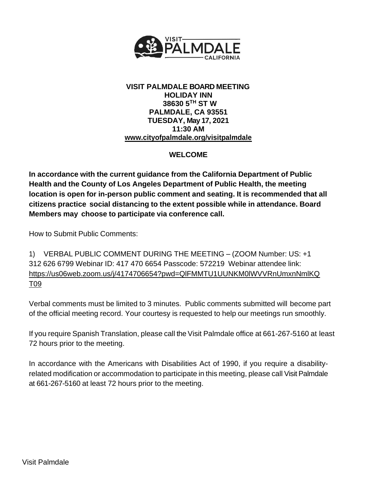

## **VISIT PALMDALE BOARD MEETING HOLIDAY INN 38630 5TH ST W PALMDALE, CA 93551 TUESDAY, May 17, 2021 11:30 AM [www.cityofpalmdale.org/visitpalmdale](http://www.cityofpalmdale.org/visitpalmdale)**

# **WELCOME**

**In accordance with the current guidance from the California Department of Public Health and the County of Los Angeles Department of Public Health, the meeting location is open for in-person public comment and seating. It is recommended that all citizens practice social distancing to the extent possible while in attendance. Board Members may choose to participate via conference call.**

How to Submit Public Comments:

1) VERBAL PUBLIC COMMENT DURING THE MEETING – (ZOOM Number: US: +1 312 626 6799 Webinar ID: 417 470 6654 Passcode: 572219 Webinar attendee link: https://us06web.zoom.us/j/4174706654?pwd=QlFMMTU1UUNKM0lWVVRnUmxnNmlKQ T09

Verbal comments must be limited to 3 minutes. Public comments submitted will become part of the official meeting record. Your courtesy is requested to help our meetings run smoothly.

If you require Spanish Translation, please call the Visit Palmdale office at 661-267-5160 at least 72 hours prior to the meeting.

In accordance with the Americans with Disabilities Act of 1990, if you require a disabilityrelated modification or accommodation to participate in this meeting, please call Visit Palmdale at 661-267-5160 at least 72 hours prior to the meeting.